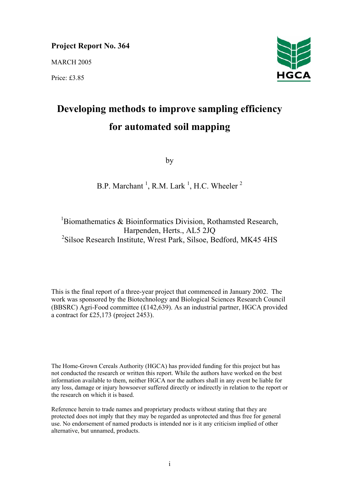# **Project Report No. 364**

MARCH 2005

Price: £3.85



# **Developing methods to improve sampling efficiency for automated soil mapping**

by

# B.P. Marchant<sup>1</sup>, R.M. Lark<sup>1</sup>, H.C. Wheeler<sup>2</sup>

<sup>1</sup>Biomathematics & Bioinformatics Division, Rothamsted Research, Harpenden, Herts., AL5 2JQ 2 Silsoe Research Institute, Wrest Park, Silsoe, Bedford, MK45 4HS

This is the final report of a three-year project that commenced in January 2002. The work was sponsored by the Biotechnology and Biological Sciences Research Council (BBSRC) Agri-Food committee (£142,639). As an industrial partner, HGCA provided a contract for £25,173 (project 2453).

The Home-Grown Cereals Authority (HGCA) has provided funding for this project but has not conducted the research or written this report. While the authors have worked on the best information available to them, neither HGCA nor the authors shall in any event be liable for any loss, damage or injury howsoever suffered directly or indirectly in relation to the report or the research on which it is based.

Reference herein to trade names and proprietary products without stating that they are protected does not imply that they may be regarded as unprotected and thus free for general use. No endorsement of named products is intended nor is it any criticism implied of other alternative, but unnamed, products.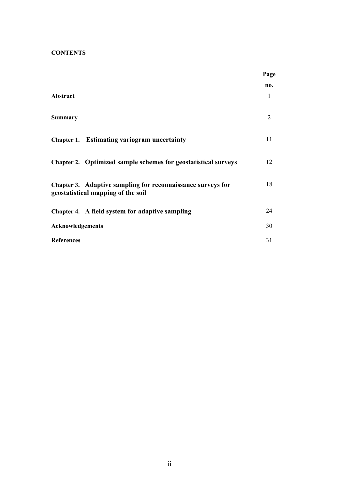# **CONTENTS**

|                                                                                                   | Page     |
|---------------------------------------------------------------------------------------------------|----------|
| Abstract                                                                                          | no.<br>1 |
| <b>Summary</b>                                                                                    | 2        |
| <b>Chapter 1. Estimating variogram uncertainty</b>                                                | 11       |
| Chapter 2. Optimized sample schemes for geostatistical surveys                                    | 12       |
| Chapter 3. Adaptive sampling for reconnaissance surveys for<br>geostatistical mapping of the soil | 18       |
| Chapter 4. A field system for adaptive sampling                                                   | 24       |
| Acknowledgements                                                                                  | 30       |
| <b>References</b>                                                                                 | 31       |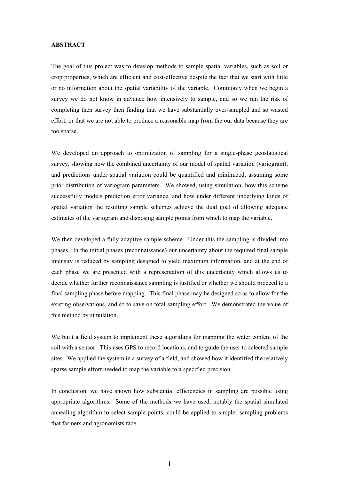#### **ABSTRACT**

The goal of this project was to develop methods to sample spatial variables, such as soil or crop properties, which are efficient and cost-effective despite the fact that we start with little or no information about the spatial variability of the variable. Commonly when we begin a survey we do not know in advance how intensively to sample, and so we run the risk of completing then survey then finding that we have substantially over-sampled and so wasted effort, or that we are not able to produce a reasonable map from the our data because they are too sparse.

We developed an approach to optimization of sampling for a single-phase geostatistical survey, showing how the combined uncertainty of our model of spatial variation (variogram), and predictions under spatial variation could be quantified and minimized, assuming some prior distribution of variogram parameters. We showed, using simulation, how this scheme successfully models prediction error variance, and how under different underlying kinds of spatial variation the resulting sample schemes achieve the dual goal of allowing adequate estimates of the variogram and disposing sample points from which to map the variable.

We then developed a fully adaptive sample scheme. Under this the sampling is divided into phases. In the initial phases (reconnaissance) our uncertainty about the required final sample intensity is reduced by sampling designed to yield maximum information, and at the end of each phase we are presented with a representation of this uncertainty which allows us to decide whether further reconnaissance sampling is justified or whether we should proceed to a final sampling phase before mapping. This final phase may be designed so as to allow for the existing observations, and so to save on total sampling effort. We demonstrated the value of this method by simulation.

We built a field system to implement these algorithms for mapping the water content of the soil with a sensor. This uses GPS to record locations, and to guide the user to selected sample sites. We applied the system in a survey of a field, and showed how it identified the relatively sparse sample effort needed to map the variable to a specified precision.

In conclusion, we have shown how substantial efficiencies in sampling are possible using appropriate algorithms. Some of the methods we have used, notably the spatial simulated annealing algorithm to select sample points, could be applied to simpler sampling problems that farmers and agronomists face.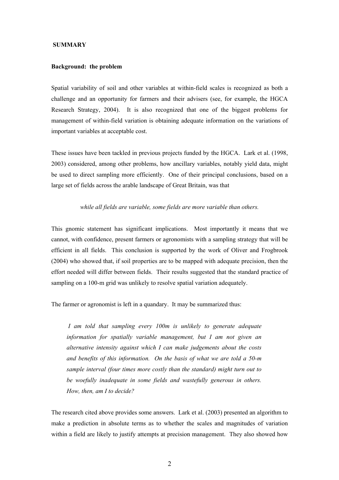#### **SUMMARY**

### **Background: the problem**

Spatial variability of soil and other variables at within-field scales is recognized as both a challenge and an opportunity for farmers and their advisers (see, for example, the HGCA Research Strategy, 2004). It is also recognized that one of the biggest problems for management of within-field variation is obtaining adequate information on the variations of important variables at acceptable cost.

These issues have been tackled in previous projects funded by the HGCA. Lark et al. (1998, 2003) considered, among other problems, how ancillary variables, notably yield data, might be used to direct sampling more efficiently. One of their principal conclusions, based on a large set of fields across the arable landscape of Great Britain, was that

#### *while all fields are variable, some fields are more variable than others.*

This gnomic statement has significant implications. Most importantly it means that we cannot, with confidence, present farmers or agronomists with a sampling strategy that will be efficient in all fields. This conclusion is supported by the work of Oliver and Frogbrook (2004) who showed that, if soil properties are to be mapped with adequate precision, then the effort needed will differ between fields. Their results suggested that the standard practice of sampling on a 100-m grid was unlikely to resolve spatial variation adequately.

The farmer or agronomist is left in a quandary. It may be summarized thus:

*I am told that sampling every 100m is unlikely to generate adequate information for spatially variable management, but I am not given an alternative intensity against which I can make judgements about the costs and benefits of this information. On the basis of what we are told a 50-m sample interval (four times more costly than the standard) might turn out to be woefully inadequate in some fields and wastefully generous in others. How, then, am I to decide?*

The research cited above provides some answers. Lark et al. (2003) presented an algorithm to make a prediction in absolute terms as to whether the scales and magnitudes of variation within a field are likely to justify attempts at precision management. They also showed how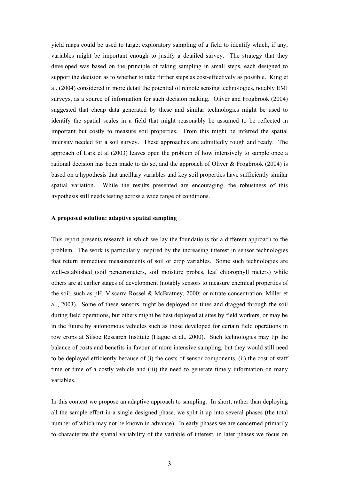yield maps could be used to target exploratory sampling of a field to identify which, if any, variables might be important enough to justify a detailed survey. The strategy that they developed was based on the principle of taking sampling in small steps, each designed to support the decision as to whether to take further steps as cost-effectively as possible. King et al. (2004) considered in more detail the potential of remote sensing technologies, notably EMI surveys, as a source of information for such decision making. Oliver and Frogbrook (2004) suggested that cheap data generated by these and similar technologies might be used to identify the spatial scales in a field that might reasonably be assumed to be reflected in important but costly to measure soil properties. From this might be inferred the spatial intensity needed for a soil survey. These approaches are admittedly rough and ready. The approach of Lark et al (2003) leaves open the problem of how intensively to sample once a rational decision has been made to do so, and the approach of Oliver & Frogbrook (2004) is based on a hypothesis that ancillary variables and key soil properties have sufficiently similar spatial variation. While the results presented are encouraging, the robustness of this hypothesis still needs testing across a wide range of conditions.

#### **A proposed solution: adaptive spatial sampling**

This report presents research in which we lay the foundations for a different approach to the problem. The work is particularly inspired by the increasing interest in sensor technologies that return immediate measurements of soil or crop variables. Some such technologies are well-established (soil penetrometers, soil moisture probes, leaf chlorophyll meters) while others are at earlier stages of development (notably sensors to measure chemical properties of the soil, such as pH, Viscarra Rossel & McBratney, 2000; or nitrate concentration, Miller et al., 2003). Some of these sensors might be deployed on tines and dragged through the soil during field operations, but others might be best deployed at sites by field workers, or may be in the future by autonomous vehicles such as those developed for certain field operations in row crops at Silsoe Research Institute (Hague et al., 2000). Such technologies may tip the balance of costs and benefits in favour of more intensive sampling, but they would still need to be deployed efficiently because of (i) the costs of sensor components, (ii) the cost of staff time or time of a costly vehicle and (iii) the need to generate timely information on many variables.

In this context we propose an adaptive approach to sampling. In short, rather than deploying all the sample effort in a single designed phase, we split it up into several phases (the total number of which may not be known in advance). In early phases we are concerned primarily to characterize the spatial variability of the variable of interest, in later phases we focus on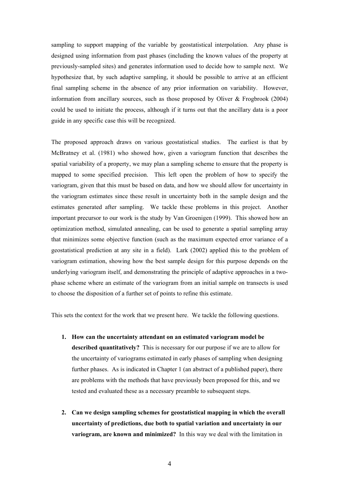sampling to support mapping of the variable by geostatistical interpolation. Any phase is designed using information from past phases (including the known values of the property at previously-sampled sites) and generates information used to decide how to sample next. We hypothesize that, by such adaptive sampling, it should be possible to arrive at an efficient final sampling scheme in the absence of any prior information on variability. However, information from ancillary sources, such as those proposed by Oliver & Frogbrook (2004) could be used to initiate the process, although if it turns out that the ancillary data is a poor guide in any specific case this will be recognized.

The proposed approach draws on various geostatistical studies. The earliest is that by McBratney et al. (1981) who showed how, given a variogram function that describes the spatial variability of a property, we may plan a sampling scheme to ensure that the property is mapped to some specified precision. This left open the problem of how to specify the variogram, given that this must be based on data, and how we should allow for uncertainty in the variogram estimates since these result in uncertainty both in the sample design and the estimates generated after sampling. We tackle these problems in this project. Another important precursor to our work is the study by Van Groenigen (1999). This showed how an optimization method, simulated annealing, can be used to generate a spatial sampling array that minimizes some objective function (such as the maximum expected error variance of a geostatistical prediction at any site in a field). Lark (2002) applied this to the problem of variogram estimation, showing how the best sample design for this purpose depends on the underlying variogram itself, and demonstrating the principle of adaptive approaches in a twophase scheme where an estimate of the variogram from an initial sample on transects is used to choose the disposition of a further set of points to refine this estimate.

This sets the context for the work that we present here. We tackle the following questions.

- **1. How can the uncertainty attendant on an estimated variogram model be described quantitatively?** This is necessary for our purpose if we are to allow for the uncertainty of variograms estimated in early phases of sampling when designing further phases. As is indicated in Chapter 1 (an abstract of a published paper), there are problems with the methods that have previously been proposed for this, and we tested and evaluated these as a necessary preamble to subsequent steps.
- **2. Can we design sampling schemes for geostatistical mapping in which the overall uncertainty of predictions, due both to spatial variation and uncertainty in our variogram, are known and minimized?** In this way we deal with the limitation in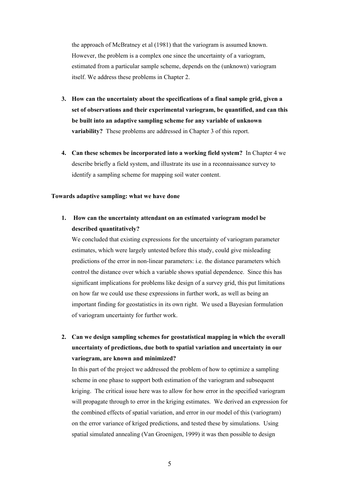the approach of McBratney et al (1981) that the variogram is assumed known. However, the problem is a complex one since the uncertainty of a variogram, estimated from a particular sample scheme, depends on the (unknown) variogram itself. We address these problems in Chapter 2.

- **3. How can the uncertainty about the specifications of a final sample grid, given a set of observations and their experimental variogram, be quantified, and can this be built into an adaptive sampling scheme for any variable of unknown variability?** These problems are addressed in Chapter 3 of this report.
- **4. Can these schemes be incorporated into a working field system?** In Chapter 4 we describe briefly a field system, and illustrate its use in a reconnaissance survey to identify a sampling scheme for mapping soil water content.

# **Towards adaptive sampling: what we have done**

# **1. How can the uncertainty attendant on an estimated variogram model be described quantitatively?**

We concluded that existing expressions for the uncertainty of variogram parameter estimates, which were largely untested before this study, could give misleading predictions of the error in non-linear parameters: i.e. the distance parameters which control the distance over which a variable shows spatial dependence. Since this has significant implications for problems like design of a survey grid, this put limitations on how far we could use these expressions in further work, as well as being an important finding for geostatistics in its own right. We used a Bayesian formulation of variogram uncertainty for further work.

**2. Can we design sampling schemes for geostatistical mapping in which the overall uncertainty of predictions, due both to spatial variation and uncertainty in our variogram, are known and minimized?**

In this part of the project we addressed the problem of how to optimize a sampling scheme in one phase to support both estimation of the variogram and subsequent kriging. The critical issue here was to allow for how error in the specified variogram will propagate through to error in the kriging estimates. We derived an expression for the combined effects of spatial variation, and error in our model of this (variogram) on the error variance of kriged predictions, and tested these by simulations. Using spatial simulated annealing (Van Groenigen, 1999) it was then possible to design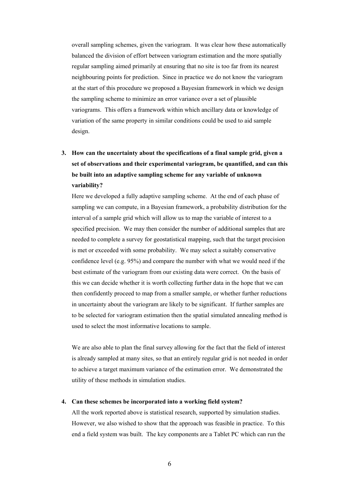overall sampling schemes, given the variogram. It was clear how these automatically balanced the division of effort between variogram estimation and the more spatially regular sampling aimed primarily at ensuring that no site is too far from its nearest neighbouring points for prediction. Since in practice we do not know the variogram at the start of this procedure we proposed a Bayesian framework in which we design the sampling scheme to minimize an error variance over a set of plausible variograms. This offers a framework within which ancillary data or knowledge of variation of the same property in similar conditions could be used to aid sample design.

# **3. How can the uncertainty about the specifications of a final sample grid, given a set of observations and their experimental variogram, be quantified, and can this be built into an adaptive sampling scheme for any variable of unknown variability?**

Here we developed a fully adaptive sampling scheme. At the end of each phase of sampling we can compute, in a Bayesian framework, a probability distribution for the interval of a sample grid which will allow us to map the variable of interest to a specified precision. We may then consider the number of additional samples that are needed to complete a survey for geostatistical mapping, such that the target precision is met or exceeded with some probability. We may select a suitably conservative confidence level (e.g. 95%) and compare the number with what we would need if the best estimate of the variogram from our existing data were correct. On the basis of this we can decide whether it is worth collecting further data in the hope that we can then confidently proceed to map from a smaller sample, or whether further reductions in uncertainty about the variogram are likely to be significant. If further samples are to be selected for variogram estimation then the spatial simulated annealing method is used to select the most informative locations to sample.

We are also able to plan the final survey allowing for the fact that the field of interest is already sampled at many sites, so that an entirely regular grid is not needed in order to achieve a target maximum variance of the estimation error. We demonstrated the utility of these methods in simulation studies.

### **4. Can these schemes be incorporated into a working field system?**

All the work reported above is statistical research, supported by simulation studies. However, we also wished to show that the approach was feasible in practice. To this end a field system was built. The key components are a Tablet PC which can run the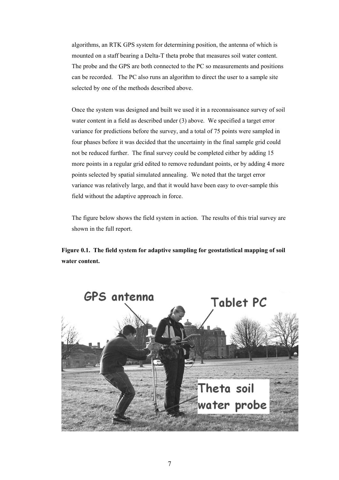algorithms, an RTK GPS system for determining position, the antenna of which is mounted on a staff bearing a Delta-T theta probe that measures soil water content. The probe and the GPS are both connected to the PC so measurements and positions can be recorded. The PC also runs an algorithm to direct the user to a sample site selected by one of the methods described above.

Once the system was designed and built we used it in a reconnaissance survey of soil water content in a field as described under (3) above. We specified a target error variance for predictions before the survey, and a total of 75 points were sampled in four phases before it was decided that the uncertainty in the final sample grid could not be reduced further. The final survey could be completed either by adding 15 more points in a regular grid edited to remove redundant points, or by adding 4 more points selected by spatial simulated annealing. We noted that the target error variance was relatively large, and that it would have been easy to over-sample this field without the adaptive approach in force.

The figure below shows the field system in action. The results of this trial survey are shown in the full report.

**Figure 0.1. The field system for adaptive sampling for geostatistical mapping of soil water content.** 

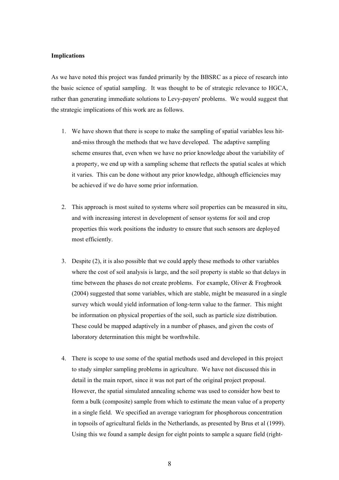#### **Implications**

As we have noted this project was funded primarily by the BBSRC as a piece of research into the basic science of spatial sampling. It was thought to be of strategic relevance to HGCA, rather than generating immediate solutions to Levy-payers' problems. We would suggest that the strategic implications of this work are as follows.

- 1. We have shown that there is scope to make the sampling of spatial variables less hitand-miss through the methods that we have developed. The adaptive sampling scheme ensures that, even when we have no prior knowledge about the variability of a property, we end up with a sampling scheme that reflects the spatial scales at which it varies. This can be done without any prior knowledge, although efficiencies may be achieved if we do have some prior information.
- 2. This approach is most suited to systems where soil properties can be measured in situ, and with increasing interest in development of sensor systems for soil and crop properties this work positions the industry to ensure that such sensors are deployed most efficiently.
- 3. Despite (2), it is also possible that we could apply these methods to other variables where the cost of soil analysis is large, and the soil property is stable so that delays in time between the phases do not create problems. For example, Oliver & Frogbrook (2004) suggested that some variables, which are stable, might be measured in a single survey which would yield information of long-term value to the farmer. This might be information on physical properties of the soil, such as particle size distribution. These could be mapped adaptively in a number of phases, and given the costs of laboratory determination this might be worthwhile.
- 4. There is scope to use some of the spatial methods used and developed in this project to study simpler sampling problems in agriculture. We have not discussed this in detail in the main report, since it was not part of the original project proposal. However, the spatial simulated annealing scheme was used to consider how best to form a bulk (composite) sample from which to estimate the mean value of a property in a single field. We specified an average variogram for phosphorous concentration in topsoils of agricultural fields in the Netherlands, as presented by Brus et al (1999). Using this we found a sample design for eight points to sample a square field (right-

8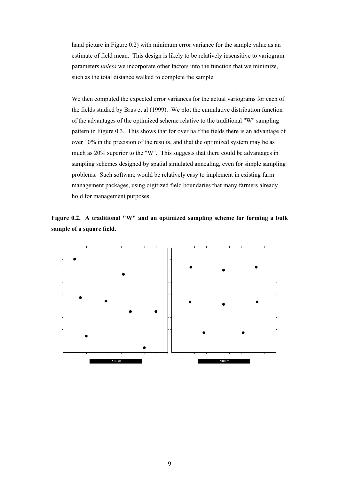hand picture in Figure 0.2) with minimum error variance for the sample value as an estimate of field mean. This design is likely to be relatively insensitive to variogram parameters *unless* we incorporate other factors into the function that we minimize, such as the total distance walked to complete the sample.

We then computed the expected error variances for the actual variograms for each of the fields studied by Brus et al (1999). We plot the cumulative distribution function of the advantages of the optimized scheme relative to the traditional "W" sampling pattern in Figure 0.3. This shows that for over half the fields there is an advantage of over 10% in the precision of the results, and that the optimized system may be as much as 20% superior to the "W". This suggests that there could be advantages in sampling schemes designed by spatial simulated annealing, even for simple sampling problems. Such software would be relatively easy to implement in existing farm management packages, using digitized field boundaries that many farmers already hold for management purposes.



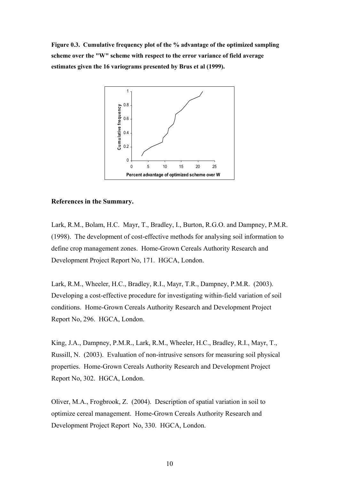**Figure 0.3. Cumulative frequency plot of the % advantage of the optimized sampling scheme over the "W" scheme with respect to the error variance of field average estimates given the 16 variograms presented by Brus et al (1999).** 



### **References in the Summary.**

Lark, R.M., Bolam, H.C. Mayr, T., Bradley, I., Burton, R.G.O. and Dampney, P.M.R. (1998). The development of cost-effective methods for analysing soil information to define crop management zones. Home-Grown Cereals Authority Research and Development Project Report No, 171. HGCA, London.

Lark, R.M., Wheeler, H.C., Bradley, R.I., Mayr, T.R., Dampney, P.M.R. (2003). Developing a cost-effective procedure for investigating within-field variation of soil conditions. Home-Grown Cereals Authority Research and Development Project Report No, 296. HGCA, London.

King, J.A., Dampney, P.M.R., Lark, R.M., Wheeler, H.C., Bradley, R.I., Mayr, T., Russill, N. (2003). Evaluation of non-intrusive sensors for measuring soil physical properties. Home-Grown Cereals Authority Research and Development Project Report No, 302. HGCA, London.

Oliver, M.A., Frogbrook, Z. (2004). Description of spatial variation in soil to optimize cereal management. Home-Grown Cereals Authority Research and Development Project Report No, 330. HGCA, London.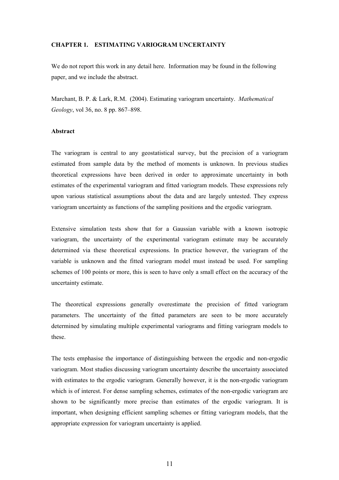#### **CHAPTER 1. ESTIMATING VARIOGRAM UNCERTAINTY**

We do not report this work in any detail here. Information may be found in the following paper, and we include the abstract.

Marchant, B. P. & Lark, R.M. (2004). Estimating variogram uncertainty. *Mathematical Geology*, vol 36, no. 8 pp. 867–898.

#### **Abstract**

The variogram is central to any geostatistical survey, but the precision of a variogram estimated from sample data by the method of moments is unknown. In previous studies theoretical expressions have been derived in order to approximate uncertainty in both estimates of the experimental variogram and fitted variogram models. These expressions rely upon various statistical assumptions about the data and are largely untested. They express variogram uncertainty as functions of the sampling positions and the ergodic variogram.

Extensive simulation tests show that for a Gaussian variable with a known isotropic variogram, the uncertainty of the experimental variogram estimate may be accurately determined via these theoretical expressions. In practice however, the variogram of the variable is unknown and the fitted variogram model must instead be used. For sampling schemes of 100 points or more, this is seen to have only a small effect on the accuracy of the uncertainty estimate.

The theoretical expressions generally overestimate the precision of fitted variogram parameters. The uncertainty of the fitted parameters are seen to be more accurately determined by simulating multiple experimental variograms and fitting variogram models to these.

The tests emphasise the importance of distinguishing between the ergodic and non-ergodic variogram. Most studies discussing variogram uncertainty describe the uncertainty associated with estimates to the ergodic variogram. Generally however, it is the non-ergodic variogram which is of interest. For dense sampling schemes, estimates of the non-ergodic variogram are shown to be significantly more precise than estimates of the ergodic variogram. It is important, when designing efficient sampling schemes or fitting variogram models, that the appropriate expression for variogram uncertainty is applied.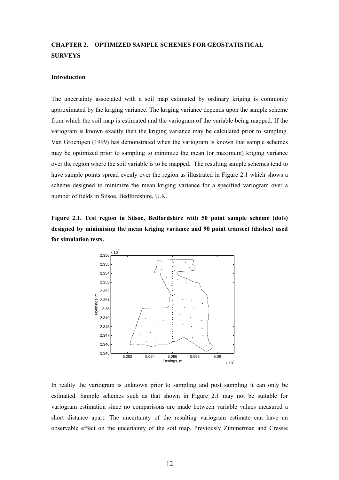# **CHAPTER 2. OPTIMIZED SAMPLE SCHEMES FOR GEOSTATISTICAL SURVEYS**

#### **Introduction**

The uncertainty associated with a soil map estimated by ordinary kriging is commonly approximated by the kriging variance. The kriging variance depends upon the sample scheme from which the soil map is estimated and the variogram of the variable being mapped. If the variogram is known exactly then the kriging variance may be calculated prior to sampling. Van Groenigen (1999) has demonstrated when the variogram is known that sample schemes may be optimized prior to sampling to minimize the mean (or maximum) kriging variance over the region where the soil variable is to be mapped. The resulting sample schemes tend to have sample points spread evenly over the region as illustrated in Figure 2.1 which shows a scheme designed to minimize the mean kriging variance for a specified variogram over a number of fields in Silsoe, Bedfordshire, U.K.

**Figure 2.1. Test region in Silsoe, Bedfordshire with 50 point sample scheme (dots) designed by minimising the mean kriging variance and 90 point transect (dashes) used for simulation tests.** 



In reality the variogram is unknown prior to sampling and post sampling it can only be estimated. Sample schemes such as that shown in Figure 2.1 may not be suitable for variogram estimation since no comparisons are made between variable values measured a short distance apart. The uncertainty of the resulting variogram estimate can have an observable effect on the uncertainty of the soil map. Previously Zimmerman and Cressie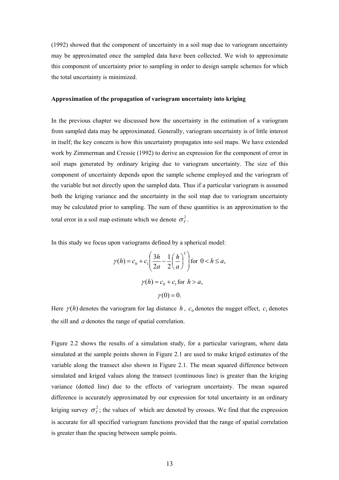(1992) showed that the component of uncertainty in a soil map due to variogram uncertainty may be approximated once the sampled data have been collected. We wish to approximate this component of uncertainty prior to sampling in order to design sample schemes for which the total uncertainty is minimized.

#### **Approximation of the propagation of variogram uncertainty into kriging**

In the previous chapter we discussed how the uncertainty in the estimation of a variogram from sampled data may be approximated. Generally, variogram uncertainty is of little interest in itself; the key concern is how this uncertainty propagates into soil maps. We have extended work by Zimmerman and Cressie (1992) to derive an expression for the component of error in soil maps generated by ordinary kriging due to variogram uncertainty. The size of this component of uncertainty depends upon the sample scheme employed and the variogram of the variable but not directly upon the sampled data. Thus if a particular variogram is assumed both the kriging variance and the uncertainty in the soil map due to variogram uncertainty may be calculated prior to sampling. The sum of these quantities is an approximation to the total error in a soil map estimate which we denote  $\sigma_T^2$ .

In this study we focus upon variograms defined by a spherical model:

$$
\gamma(h) = c_0 + c_1 \left(\frac{3h}{2a} - \frac{1}{2}\left(\frac{h}{a}\right)^3\right) \text{ for } 0 < h \le a,
$$
  

$$
\gamma(h) = c_0 + c_1 \text{ for } h > a,
$$
  

$$
\gamma(0) = 0.
$$

Here  $\gamma(h)$  denotes the variogram for lag distance *h*,  $c_0$  denotes the nugget effect,  $c_1$  denotes the sill and *a* denotes the range of spatial correlation.

Figure 2.2 shows the results of a simulation study, for a particular variogram, where data simulated at the sample points shown in Figure 2.1 are used to make kriged estimates of the variable along the transect also shown in Figure 2.1. The mean squared difference between simulated and kriged values along the transect (continuous line) is greater than the kriging variance (dotted line) due to the effects of variogram uncertainty. The mean squared difference is accurately approximated by our expression for total uncertainty in an ordinary kriging survey  $\sigma_T^2$ ; the values of which are denoted by crosses. We find that the expression is accurate for all specified variogram functions provided that the range of spatial correlation is greater than the spacing between sample points.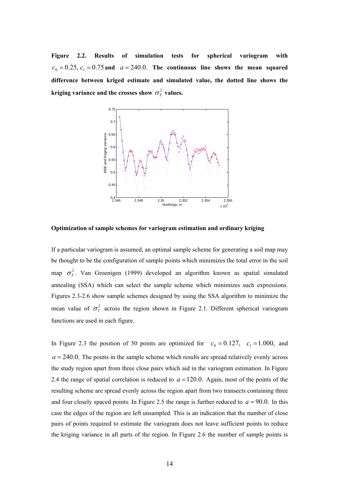**Figure 2.2. Results of simulation tests for spherical variogram with**   $c_0 = 0.25$ ,  $c_1 = 0.75$  and  $a = 240.0$ . The continuous line shows the mean squared **difference between kriged estimate and simulated value, the dotted line shows the kriging variance and the crosses show**  $\sigma_T^2$  **values.** 



**Optimization of sample schemes for variogram estimation and ordinary kriging** 

If a particular variogram is assumed, an optimal sample scheme for generating a soil map may be thought to be the configuration of sample points which minimizes the total error in the soil map  $\sigma_T^2$ . Van Groenigen (1999) developed an algorithm known as spatial simulated annealing (SSA) which can select the sample scheme which minimizes such expressions. Figures 2.3-2.6 show sample schemes designed by using the SSA algorithm to minimize the mean value of  $\sigma_T^2$  across the region shown in Figure 2.1. Different spherical variogram functions are used in each figure.

In Figure 2.3 the position of 50 points are optimized for  $c_0 = 0.127$ ,  $c_1 = 1.000$ , and  $a = 240.0$ . The points in the sample scheme which results are spread relatively evenly across the study region apart from three close pairs which aid in the variogram estimation. In Figure 2.4 the range of spatial correlation is reduced to  $a = 120.0$ . Again, most of the points of the resulting scheme are spread evenly across the region apart from two transects containing three and four closely spaced points. In Figure 2.5 the range is further reduced to  $a = 90.0$ . In this case the edges of the region are left unsampled. This is an indication that the number of close pairs of points required to estimate the variogram does not leave sufficient points to reduce the kriging variance in all parts of the region. In Figure 2.6 the number of sample points is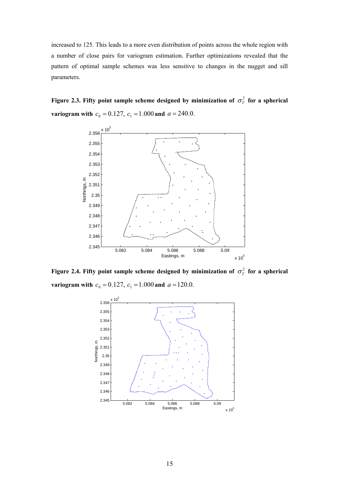increased to 125. This leads to a more even distribution of points across the whole region with a number of close pairs for variogram estimation. Further optimizations revealed that the pattern of optimal sample schemes was less sensitive to changes in the nugget and sill parameters.

**Figure 2.3. Fifty point sample scheme designed by minimization of**  $\sigma_T^2$  **for a spherical variogram with**  $c_0 = 0.127$ ,  $c_1 = 1.000$  and  $a = 240.0$ .



**Figure 2.4. Fifty point sample scheme designed by minimization of**  $\sigma_T^2$  **for a spherical variogram with**  $c_0 = 0.127$ ,  $c_1 = 1.000$  and  $a = 120.0$ .

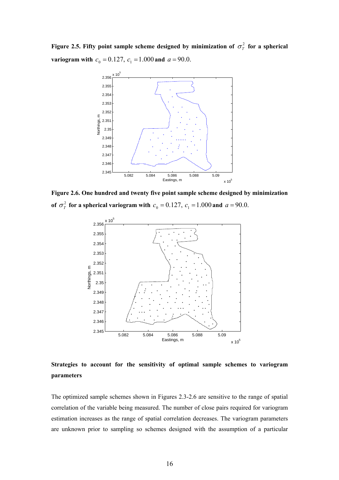**Figure 2.5. Fifty point sample scheme designed by minimization of**  $\sigma_T^2$  **for a spherical variogram with**  $c_0 = 0.127$ ,  $c_1 = 1.000$  and  $a = 90.0$ .



**Figure 2.6. One hundred and twenty five point sample scheme designed by minimization of**  $\sigma_T^2$  for a spherical variogram with  $c_0 = 0.127$ ,  $c_1 = 1.000$  and  $a = 90.0$ .



**Strategies to account for the sensitivity of optimal sample schemes to variogram parameters** 

The optimized sample schemes shown in Figures 2.3-2.6 are sensitive to the range of spatial correlation of the variable being measured. The number of close pairs required for variogram estimation increases as the range of spatial correlation decreases. The variogram parameters are unknown prior to sampling so schemes designed with the assumption of a particular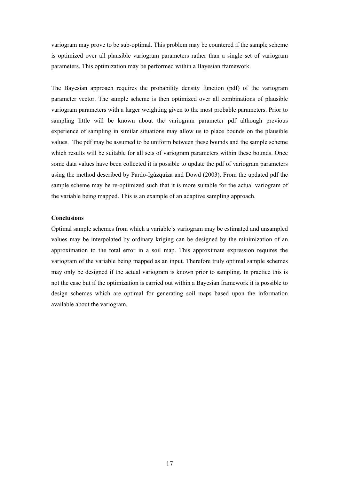variogram may prove to be sub-optimal. This problem may be countered if the sample scheme is optimized over all plausible variogram parameters rather than a single set of variogram parameters. This optimization may be performed within a Bayesian framework.

The Bayesian approach requires the probability density function (pdf) of the variogram parameter vector. The sample scheme is then optimized over all combinations of plausible variogram parameters with a larger weighting given to the most probable parameters. Prior to sampling little will be known about the variogram parameter pdf although previous experience of sampling in similar situations may allow us to place bounds on the plausible values. The pdf may be assumed to be uniform between these bounds and the sample scheme which results will be suitable for all sets of variogram parameters within these bounds. Once some data values have been collected it is possible to update the pdf of variogram parameters using the method described by Pardo-Igúzquiza and Dowd (2003). From the updated pdf the sample scheme may be re-optimized such that it is more suitable for the actual variogram of the variable being mapped. This is an example of an adaptive sampling approach.

### **Conclusions**

Optimal sample schemes from which a variable's variogram may be estimated and unsampled values may be interpolated by ordinary kriging can be designed by the minimization of an approximation to the total error in a soil map. This approximate expression requires the variogram of the variable being mapped as an input. Therefore truly optimal sample schemes may only be designed if the actual variogram is known prior to sampling. In practice this is not the case but if the optimization is carried out within a Bayesian framework it is possible to design schemes which are optimal for generating soil maps based upon the information available about the variogram.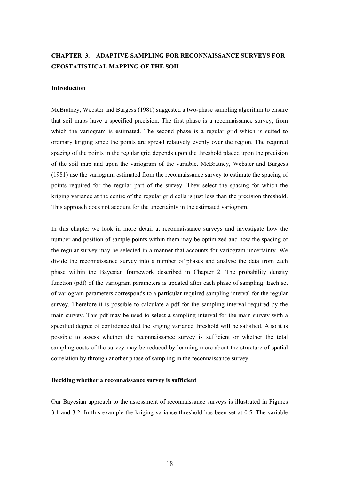# **CHAPTER 3. ADAPTIVE SAMPLING FOR RECONNAISSANCE SURVEYS FOR GEOSTATISTICAL MAPPING OF THE SOIL**

#### **Introduction**

McBratney, Webster and Burgess (1981) suggested a two-phase sampling algorithm to ensure that soil maps have a specified precision. The first phase is a reconnaissance survey, from which the variogram is estimated. The second phase is a regular grid which is suited to ordinary kriging since the points are spread relatively evenly over the region. The required spacing of the points in the regular grid depends upon the threshold placed upon the precision of the soil map and upon the variogram of the variable. McBratney, Webster and Burgess (1981) use the variogram estimated from the reconnaissance survey to estimate the spacing of points required for the regular part of the survey. They select the spacing for which the kriging variance at the centre of the regular grid cells is just less than the precision threshold. This approach does not account for the uncertainty in the estimated variogram.

In this chapter we look in more detail at reconnaissance surveys and investigate how the number and position of sample points within them may be optimized and how the spacing of the regular survey may be selected in a manner that accounts for variogram uncertainty. We divide the reconnaissance survey into a number of phases and analyse the data from each phase within the Bayesian framework described in Chapter 2. The probability density function (pdf) of the variogram parameters is updated after each phase of sampling. Each set of variogram parameters corresponds to a particular required sampling interval for the regular survey. Therefore it is possible to calculate a pdf for the sampling interval required by the main survey. This pdf may be used to select a sampling interval for the main survey with a specified degree of confidence that the kriging variance threshold will be satisfied. Also it is possible to assess whether the reconnaissance survey is sufficient or whether the total sampling costs of the survey may be reduced by learning more about the structure of spatial correlation by through another phase of sampling in the reconnaissance survey.

#### **Deciding whether a reconnaissance survey is sufficient**

Our Bayesian approach to the assessment of reconnaissance surveys is illustrated in Figures 3.1 and 3.2. In this example the kriging variance threshold has been set at 0.5. The variable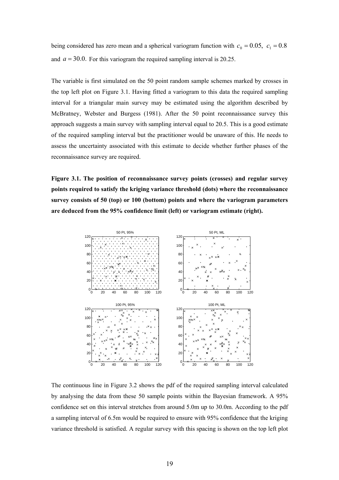being considered has zero mean and a spherical variogram function with  $c_0 = 0.05$ ,  $c_1 = 0.8$ and  $a = 30.0$ . For this variogram the required sampling interval is 20.25.

The variable is first simulated on the 50 point random sample schemes marked by crosses in the top left plot on Figure 3.1. Having fitted a variogram to this data the required sampling interval for a triangular main survey may be estimated using the algorithm described by McBratney, Webster and Burgess (1981). After the 50 point reconnaissance survey this approach suggests a main survey with sampling interval equal to 20.5. This is a good estimate of the required sampling interval but the practitioner would be unaware of this. He needs to assess the uncertainty associated with this estimate to decide whether further phases of the reconnaissance survey are required.

**Figure 3.1. The position of reconnaissance survey points (crosses) and regular survey points required to satisfy the kriging variance threshold (dots) where the reconnaissance survey consists of 50 (top) or 100 (bottom) points and where the variogram parameters are deduced from the 95% confidence limit (left) or variogram estimate (right).** 



The continuous line in Figure 3.2 shows the pdf of the required sampling interval calculated by analysing the data from these 50 sample points within the Bayesian framework. A 95% confidence set on this interval stretches from around 5.0m up to 30.0m. According to the pdf a sampling interval of 6.5m would be required to ensure with 95% confidence that the kriging variance threshold is satisfied. A regular survey with this spacing is shown on the top left plot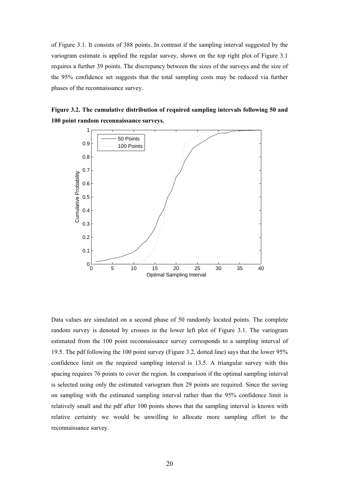of Figure 3.1. It consists of 388 points. In contrast if the sampling interval suggested by the variogram estimate is applied the regular survey, shown on the top right plot of Figure 3.1 requires a further 39 points. The discrepancy between the sizes of the surveys and the size of the 95% confidence set suggests that the total sampling costs may be reduced via further phases of the reconnaissance survey.





Data values are simulated on a second phase of 50 randomly located points. The complete random survey is denoted by crosses in the lower left plot of Figure 3.1. The variogram estimated from the 100 point reconnaissance survey corresponds to a sampling interval of 19.5. The pdf following the 100 point survey (Figure 3.2, dotted line) says that the lower 95% confidence limit on the required sampling interval is 13.5. A triangular survey with this spacing requires 76 points to cover the region. In comparison if the optimal sampling interval is selected using only the estimated variogram then 29 points are required. Since the saving on sampling with the estimated sampling interval rather than the 95% confidence limit is relatively small and the pdf after 100 points shows that the sampling interval is known with relative certainty we would be unwilling to allocate more sampling effort to the reconnaissance survey.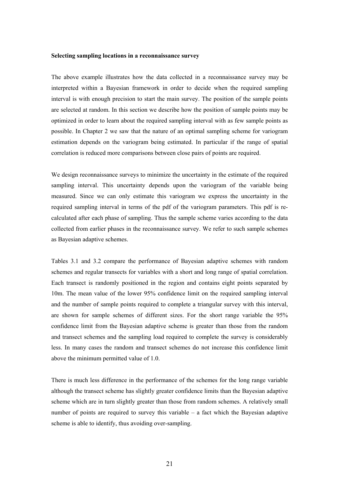#### **Selecting sampling locations in a reconnaissance survey**

The above example illustrates how the data collected in a reconnaissance survey may be interpreted within a Bayesian framework in order to decide when the required sampling interval is with enough precision to start the main survey. The position of the sample points are selected at random. In this section we describe how the position of sample points may be optimized in order to learn about the required sampling interval with as few sample points as possible. In Chapter 2 we saw that the nature of an optimal sampling scheme for variogram estimation depends on the variogram being estimated. In particular if the range of spatial correlation is reduced more comparisons between close pairs of points are required.

We design reconnaissance surveys to minimize the uncertainty in the estimate of the required sampling interval. This uncertainty depends upon the variogram of the variable being measured. Since we can only estimate this variogram we express the uncertainty in the required sampling interval in terms of the pdf of the variogram parameters. This pdf is recalculated after each phase of sampling. Thus the sample scheme varies according to the data collected from earlier phases in the reconnaissance survey. We refer to such sample schemes as Bayesian adaptive schemes.

Tables 3.1 and 3.2 compare the performance of Bayesian adaptive schemes with random schemes and regular transects for variables with a short and long range of spatial correlation. Each transect is randomly positioned in the region and contains eight points separated by 10m. The mean value of the lower 95% confidence limit on the required sampling interval and the number of sample points required to complete a triangular survey with this interval, are shown for sample schemes of different sizes. For the short range variable the 95% confidence limit from the Bayesian adaptive scheme is greater than those from the random and transect schemes and the sampling load required to complete the survey is considerably less. In many cases the random and transect schemes do not increase this confidence limit above the minimum permitted value of 1.0.

There is much less difference in the performance of the schemes for the long range variable although the transect scheme has slightly greater confidence limits than the Bayesian adaptive scheme which are in turn slightly greater than those from random schemes. A relatively small number of points are required to survey this variable – a fact which the Bayesian adaptive scheme is able to identify, thus avoiding over-sampling.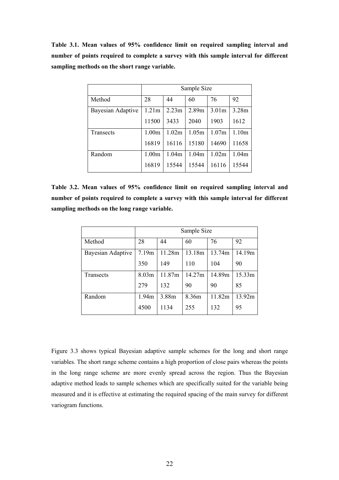**Table 3.1. Mean values of 95% confidence limit on required sampling interval and number of points required to complete a survey with this sample interval for different sampling methods on the short range variable.** 

|                   | Sample Size       |       |       |                   |                   |
|-------------------|-------------------|-------|-------|-------------------|-------------------|
| Method            | 28                | 44    | 60    | 76                | 92                |
| Bayesian Adaptive | 1.21m             | 2.23m | 2.89m | 3.01 <sub>m</sub> | 3.28m             |
|                   | 11500             | 3433  | 2040  | 1903              | 1612              |
| Transects         | 1.00 <sub>m</sub> | 1.02m | 1.05m | 1.07m             | 1.10 <sub>m</sub> |
|                   | 16819             | 16116 | 15180 | 14690             | 11658             |
| Random            | 1.00m             | 1.04m | 1.04m | 1.02m             | 1.04 <sub>m</sub> |
|                   | 16819             | 15544 | 15544 | 16116             | 15544             |

**Table 3.2. Mean values of 95% confidence limit on required sampling interval and number of points required to complete a survey with this sample interval for different sampling methods on the long range variable.** 

|                   | Sample Size |        |        |        |        |
|-------------------|-------------|--------|--------|--------|--------|
| Method            | 28          | 44     | 60     | 76     | 92     |
| Bayesian Adaptive | 7.19m       | 11.28m | 13.18m | 13.74m | 14.19m |
|                   | 350         | 149    | 110    | 104    | 90     |
| Transects         | 8.03m       | 11.87m | 14.27m | 14.89m | 15.33m |
|                   | 279         | 132    | 90     | 90     | 85     |
| Random            | 1.94m       | 3.88m  | 8.36m  | 11.82m | 13.92m |
|                   | 4500        | 1134   | 255    | 132    | 95     |

Figure 3.3 shows typical Bayesian adaptive sample schemes for the long and short range variables. The short range scheme contains a high proportion of close pairs whereas the points in the long range scheme are more evenly spread across the region. Thus the Bayesian adaptive method leads to sample schemes which are specifically suited for the variable being measured and it is effective at estimating the required spacing of the main survey for different variogram functions.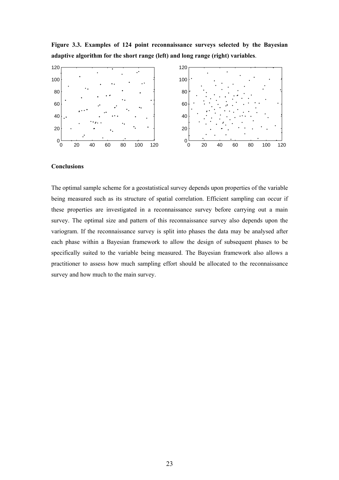

**Figure 3.3. Examples of 124 point reconnaissance surveys selected by the Bayesian adaptive algorithm for the short range (left) and long range (right) variables**.

#### **Conclusions**

The optimal sample scheme for a geostatistical survey depends upon properties of the variable being measured such as its structure of spatial correlation. Efficient sampling can occur if these properties are investigated in a reconnaissance survey before carrying out a main survey. The optimal size and pattern of this reconnaissance survey also depends upon the variogram. If the reconnaissance survey is split into phases the data may be analysed after each phase within a Bayesian framework to allow the design of subsequent phases to be specifically suited to the variable being measured. The Bayesian framework also allows a practitioner to assess how much sampling effort should be allocated to the reconnaissance survey and how much to the main survey.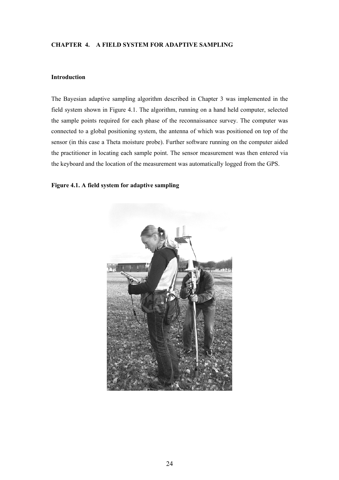### **CHAPTER 4. A FIELD SYSTEM FOR ADAPTIVE SAMPLING**

### **Introduction**

The Bayesian adaptive sampling algorithm described in Chapter 3 was implemented in the field system shown in Figure 4.1. The algorithm, running on a hand held computer, selected the sample points required for each phase of the reconnaissance survey. The computer was connected to a global positioning system, the antenna of which was positioned on top of the sensor (in this case a Theta moisture probe). Further software running on the computer aided the practitioner in locating each sample point. The sensor measurement was then entered via the keyboard and the location of the measurement was automatically logged from the GPS.

## **Figure 4.1. A field system for adaptive sampling**

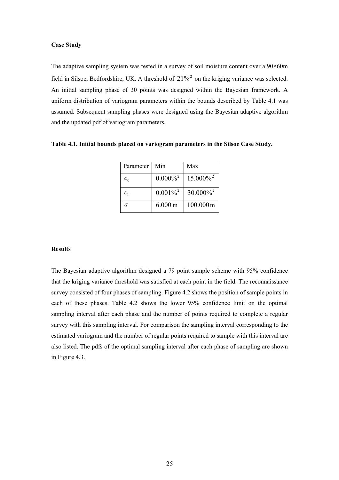### **Case Study**

The adaptive sampling system was tested in a survey of soil moisture content over a 90×60m field in Silsoe, Bedfordshire, UK. A threshold of  $21\%$ <sup>2</sup> on the kriging variance was selected. An initial sampling phase of 30 points was designed within the Bayesian framework. A uniform distribution of variogram parameters within the bounds described by Table 4.1 was assumed. Subsequent sampling phases were designed using the Bayesian adaptive algorithm and the updated pdf of variogram parameters.

| Table 4.1. Initial bounds placed on variogram parameters in the Silsoe Case Study. |  |  |
|------------------------------------------------------------------------------------|--|--|
|                                                                                    |  |  |

| Parameter       | Min                    | Max                     |
|-----------------|------------------------|-------------------------|
| $c_{0}$         | $0.000\%$ <sup>2</sup> | $15.000\%$ <sup>2</sup> |
| $\mathcal{C}_1$ | $0.001\%^{2}$          | $30.000\%$ <sup>2</sup> |
| a               | $6.000 \text{ m}$      | 100.000m                |

#### **Results**

The Bayesian adaptive algorithm designed a 79 point sample scheme with 95% confidence that the kriging variance threshold was satisfied at each point in the field. The reconnaissance survey consisted of four phases of sampling. Figure 4.2 shows the position of sample points in each of these phases. Table 4.2 shows the lower 95% confidence limit on the optimal sampling interval after each phase and the number of points required to complete a regular survey with this sampling interval. For comparison the sampling interval corresponding to the estimated variogram and the number of regular points required to sample with this interval are also listed. The pdfs of the optimal sampling interval after each phase of sampling are shown in Figure 4.3.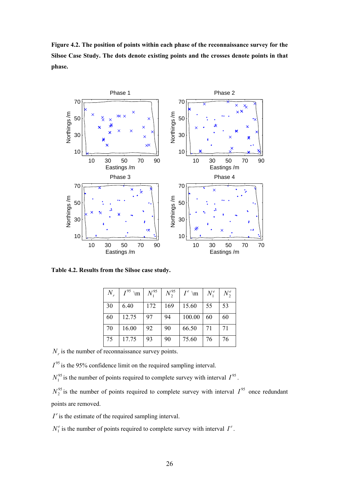**Figure 4.2. The position of points within each phase of the reconnaissance survey for the Silsoe Case Study. The dots denote existing points and the crosses denote points in that phase.** 



**Table 4.2. Results from the Silsoe case study.** 

| $N_r$ | $I^{95}$<br>$\mathbf{m}$ | $N_{1}^{95}$ | $N_2^{95}$ | $I^e$ \m | $N_1^e$ | $N_2^e$ |
|-------|--------------------------|--------------|------------|----------|---------|---------|
| 30    | 6.40                     | 172          | 169        | 15.60    | 55      | 53      |
| 60    | 12.75                    | 97           | 94         | 100.00   | 60      | 60      |
| 70    | 16.00                    | 92           | 90         | 66.50    | 71      | 71      |
| 75    | 17.75                    | 93           | 90         | 75.60    | 76      | 76      |

 $N_r$  is the number of reconnaissance survey points.

 $I^{95}$  is the 95% confidence limit on the required sampling interval.

 $N_1^{95}$  is the number of points required to complete survey with interval  $I^{95}$ .

 $N_2^{95}$  is the number of points required to complete survey with interval  $I^{95}$  once redundant points are removed.

 $I^e$  is the estimate of the required sampling interval.

 $N_1^e$  is the number of points required to complete survey with interval  $I^e$ .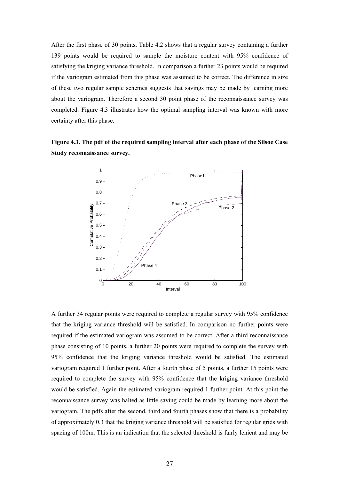After the first phase of 30 points, Table 4.2 shows that a regular survey containing a further 139 points would be required to sample the moisture content with 95% confidence of satisfying the kriging variance threshold. In comparison a further 23 points would be required if the variogram estimated from this phase was assumed to be correct. The difference in size of these two regular sample schemes suggests that savings may be made by learning more about the variogram. Therefore a second 30 point phase of the reconnaissance survey was completed. Figure 4.3 illustrates how the optimal sampling interval was known with more certainty after this phase.

**Figure 4.3. The pdf of the required sampling interval after each phase of the Silsoe Case Study reconnaissance survey.** 



A further 34 regular points were required to complete a regular survey with 95% confidence that the kriging variance threshold will be satisfied. In comparison no further points were required if the estimated variogram was assumed to be correct. After a third reconnaissance phase consisting of 10 points, a further 20 points were required to complete the survey with 95% confidence that the kriging variance threshold would be satisfied. The estimated variogram required 1 further point. After a fourth phase of 5 points, a further 15 points were required to complete the survey with 95% confidence that the kriging variance threshold would be satisfied. Again the estimated variogram required 1 further point. At this point the reconnaissance survey was halted as little saving could be made by learning more about the variogram. The pdfs after the second, third and fourth phases show that there is a probability of approximately 0.3 that the kriging variance threshold will be satisfied for regular grids with spacing of 100m. This is an indication that the selected threshold is fairly lenient and may be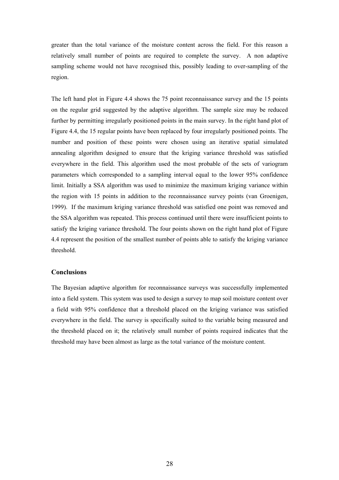greater than the total variance of the moisture content across the field. For this reason a relatively small number of points are required to complete the survey. A non adaptive sampling scheme would not have recognised this, possibly leading to over-sampling of the region.

The left hand plot in Figure 4.4 shows the 75 point reconnaissance survey and the 15 points on the regular grid suggested by the adaptive algorithm. The sample size may be reduced further by permitting irregularly positioned points in the main survey. In the right hand plot of Figure 4.4, the 15 regular points have been replaced by four irregularly positioned points. The number and position of these points were chosen using an iterative spatial simulated annealing algorithm designed to ensure that the kriging variance threshold was satisfied everywhere in the field. This algorithm used the most probable of the sets of variogram parameters which corresponded to a sampling interval equal to the lower 95% confidence limit. Initially a SSA algorithm was used to minimize the maximum kriging variance within the region with 15 points in addition to the reconnaissance survey points (van Groenigen, 1999). If the maximum kriging variance threshold was satisfied one point was removed and the SSA algorithm was repeated. This process continued until there were insufficient points to satisfy the kriging variance threshold. The four points shown on the right hand plot of Figure 4.4 represent the position of the smallest number of points able to satisfy the kriging variance threshold.

# **Conclusions**

The Bayesian adaptive algorithm for reconnaissance surveys was successfully implemented into a field system. This system was used to design a survey to map soil moisture content over a field with 95% confidence that a threshold placed on the kriging variance was satisfied everywhere in the field. The survey is specifically suited to the variable being measured and the threshold placed on it; the relatively small number of points required indicates that the threshold may have been almost as large as the total variance of the moisture content.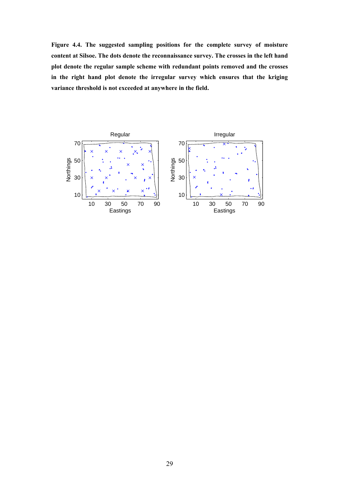**Figure 4.4. The suggested sampling positions for the complete survey of moisture content at Silsoe. The dots denote the reconnaissance survey. The crosses in the left hand plot denote the regular sample scheme with redundant points removed and the crosses in the right hand plot denote the irregular survey which ensures that the kriging variance threshold is not exceeded at anywhere in the field.** 

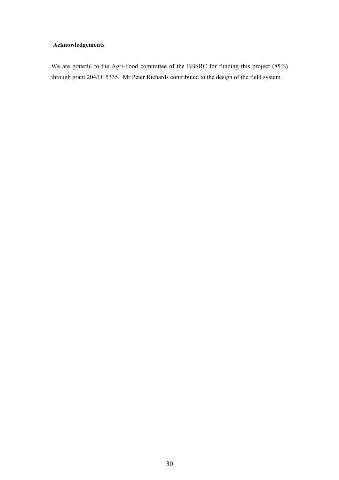# **Acknowledgements**

We are grateful to the Agri-Food committee of the BBSRC for funding this project (85%) through grant 204/D15335. Mr Peter Richards contributed to the design of the field system.